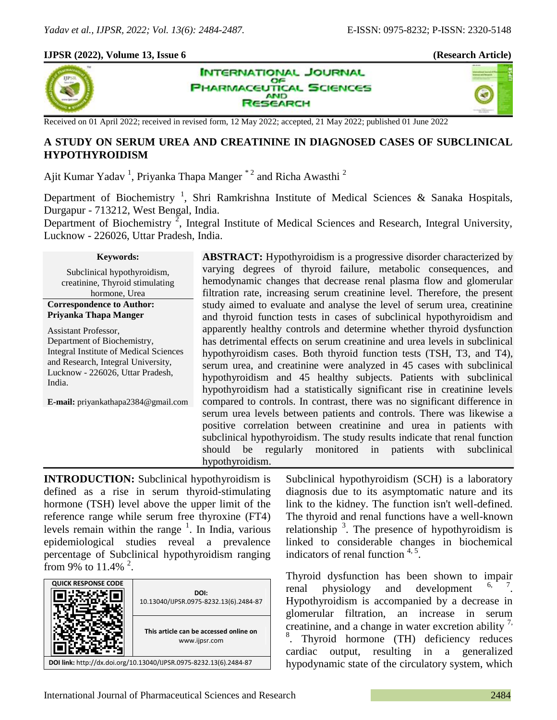# **IJPSR (2022), Volume 13, Issue 6 (Research Article)**



**INTERNATIONAL JOURNAL** OF **IARMACEUTICAL SCIENCES AND SEARCH** 



Received on 01 April 2022; received in revised form, 12 May 2022; accepted, 21 May 2022; published 01 June 2022

# **A STUDY ON SERUM UREA AND CREATININE IN DIAGNOSED CASES OF SUBCLINICAL HYPOTHYROIDISM**

Ajit Kumar Yadav<sup>1</sup>, Priyanka Thapa Manger<sup>\*2</sup> and Richa Awasthi<sup>2</sup>

Department of Biochemistry<sup>1</sup>, Shri Ramkrishna Institute of Medical Sciences & Sanaka Hospitals, Durgapur - 713212, West Bengal, India.

Department of Biochemistry<sup>2</sup>, Integral Institute of Medical Sciences and Research, Integral University, Lucknow - 226026, Uttar Pradesh, India.

#### **Keywords:**

Subclinical hypothyroidism, creatinine, Thyroid stimulating hormone, Urea **Correspondence to Author:**

# **Priyanka Thapa Manger**

Assistant Professor, Department of Biochemistry, Integral Institute of Medical Sciences and Research, Integral University, Lucknow - 226026, Uttar Pradesh, India.

**E-mail:** priyankathapa2384@gmail.com

**ABSTRACT:** Hypothyroidism is a progressive disorder characterized by varying degrees of thyroid failure, metabolic consequences, and hemodynamic changes that decrease renal plasma flow and glomerular filtration rate, increasing serum creatinine level. Therefore, the present study aimed to evaluate and analyse the level of serum urea, creatinine and thyroid function tests in cases of subclinical hypothyroidism and apparently healthy controls and determine whether thyroid dysfunction has detrimental effects on serum creatinine and urea levels in subclinical hypothyroidism cases. Both thyroid function tests (TSH, T3, and T4), serum urea, and creatinine were analyzed in 45 cases with subclinical hypothyroidism and 45 healthy subjects. Patients with subclinical hypothyroidism had a statistically significant rise in creatinine levels compared to controls. In contrast, there was no significant difference in serum urea levels between patients and controls. There was likewise a positive correlation between creatinine and urea in patients with subclinical hypothyroidism. The study results indicate that renal function should be regularly monitored in patients with subclinical hypothyroidism.

**INTRODUCTION:** Subclinical hypothyroidism is defined as a rise in serum thyroid-stimulating hormone (TSH) level above the upper limit of the reference range while serum free thyroxine (FT4) levels remain within the range  $1$ . In India, various epidemiological studies reveal a prevalence percentage of Subclinical hypothyroidism ranging from 9% to  $11.4\%$   $^{2}$ .

| <b>QUICK RESPONSE CODE</b>                                         | DOI:<br>10.13040/IJPSR.0975-8232.13(6).2484-87          |  |  |  |
|--------------------------------------------------------------------|---------------------------------------------------------|--|--|--|
|                                                                    | This article can be accessed online on<br>www.ijpsr.com |  |  |  |
| DOI link: http://dx.doi.org/10.13040/IJPSR.0975-8232.13(6).2484-87 |                                                         |  |  |  |

Subclinical hypothyroidism (SCH) is a laboratory diagnosis due to its asymptomatic nature and its link to the kidney. The function isn't well-defined. The thyroid and renal functions have a well-known relationship  $3$ . The presence of hypothyroidism is linked to considerable changes in biochemical indicators of renal function  $4.5$ .

Thyroid dysfunction has been shown to impair renal physiology and development . Hypothyroidism is accompanied by a decrease in glomerular filtration, an increase in serum creatinine, and a change in water excretion ability  $\frac{7}{1}$ , 8 . Thyroid hormone (TH) deficiency reduces cardiac output, resulting in a generalized hypodynamic state of the circulatory system, which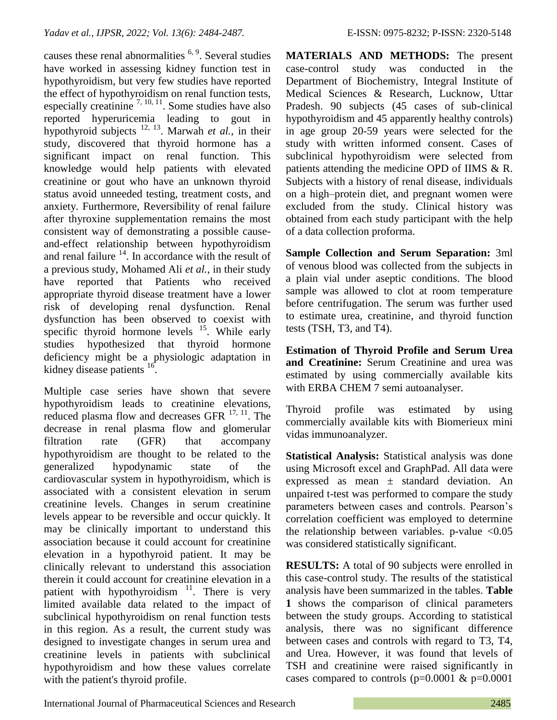causes these renal abnormalities  $6, 9$ . Several studies have worked in assessing kidney function test in hypothyroidism, but very few studies have reported the effect of hypothyroidism on renal function tests, especially creatinine  $^{7, 10, 11}$ . Some studies have also reported hyperuricemia leading to gout in hypothyroid subjects 12, 13 . Marwah *et al.,* in their study, discovered that thyroid hormone has a significant impact on renal function. This knowledge would help patients with elevated creatinine or gout who have an unknown thyroid status avoid unneeded testing, treatment costs, and anxiety. Furthermore, Reversibility of renal failure after thyroxine supplementation remains the most consistent way of demonstrating a possible causeand-effect relationship between hypothyroidism and renal failure  $14$ . In accordance with the result of a previous study, Mohamed Ali *et al.,* in their study have reported that Patients who received appropriate thyroid disease treatment have a lower risk of developing renal dysfunction. Renal dysfunction has been observed to coexist with specific thyroid hormone levels  $15$ . While early studies hypothesized that thyroid hormone deficiency might be a physiologic adaptation in kidney disease patients <sup>16</sup>.

Multiple case series have shown that severe hypothyroidism leads to creatinine elevations, reduced plasma flow and decreases GFR  $^{17, 11}$ . The decrease in renal plasma flow and glomerular filtration rate (GFR) that accompany hypothyroidism are thought to be related to the generalized hypodynamic state of the cardiovascular system in hypothyroidism, which is associated with a consistent elevation in serum creatinine levels. Changes in serum creatinine levels appear to be reversible and occur quickly. It may be clinically important to understand this association because it could account for creatinine elevation in a hypothyroid patient. It may be clinically relevant to understand this association therein it could account for creatinine elevation in a patient with hypothyroidism  $11$ . There is very limited available data related to the impact of subclinical hypothyroidism on renal function tests in this region. As a result, the current study was designed to investigate changes in serum urea and creatinine levels in patients with subclinical hypothyroidism and how these values correlate with the patient's thyroid profile.

**MATERIALS AND METHODS:** The present case-control study was conducted in the Department of Biochemistry, Integral Institute of Medical Sciences & Research, Lucknow, Uttar Pradesh. 90 subjects (45 cases of sub-clinical hypothyroidism and 45 apparently healthy controls) in age group 20-59 years were selected for the study with written informed consent. Cases of subclinical hypothyroidism were selected from patients attending the medicine OPD of IIMS & R. Subjects with a history of renal disease, individuals on a high–protein diet, and pregnant women were excluded from the study. Clinical history was obtained from each study participant with the help of a data collection proforma.

**Sample Collection and Serum Separation:** 3ml of venous blood was collected from the subjects in a plain vial under aseptic conditions. The blood sample was allowed to clot at room temperature before centrifugation. The serum was further used to estimate urea, creatinine, and thyroid function tests (TSH, T3, and T4).

**Estimation of Thyroid Profile and Serum Urea and Creatinine:** Serum Creatinine and urea was estimated by using commercially available kits with ERBA CHEM 7 semi autoanalyser.

Thyroid profile was estimated by using commercially available kits with Biomerieux mini vidas immunoanalyzer.

**Statistical Analysis:** Statistical analysis was done using Microsoft excel and GraphPad. All data were expressed as mean  $\pm$  standard deviation. An unpaired t-test was performed to compare the study parameters between cases and controls. Pearson's correlation coefficient was employed to determine the relationship between variables. p-value  $\langle 0.05 \rangle$ was considered statistically significant.

**RESULTS:** A total of 90 subjects were enrolled in this case-control study. The results of the statistical analysis have been summarized in the tables. **Table 1** shows the comparison of clinical parameters between the study groups. According to statistical analysis, there was no significant difference between cases and controls with regard to T3, T4, and Urea. However, it was found that levels of TSH and creatinine were raised significantly in cases compared to controls ( $p=0.0001 \& p=0.0001$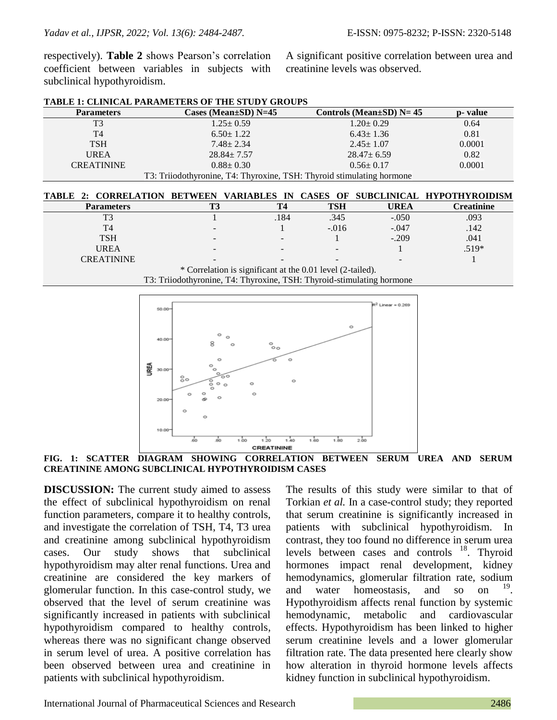respectively). **Table 2** shows Pearson's correlation coefficient between variables in subjects with subclinical hypothyroidism.

A significant positive correlation between urea and creatinine levels was observed.

| $1.25 \pm 0.59$<br>$6.50 \pm 1.22$ | $1.20 \pm 0.29$<br>$6.43 \pm 1.36$  | 0.64<br>0.81                                                                                                               |
|------------------------------------|-------------------------------------|----------------------------------------------------------------------------------------------------------------------------|
|                                    |                                     |                                                                                                                            |
|                                    |                                     |                                                                                                                            |
| $7.48 \pm 2.34$                    | $2.45 \pm 1.07$                     | 0.0001                                                                                                                     |
| $28.84 \pm 7.57$                   | $28.47 \pm 6.59$                    | 0.82                                                                                                                       |
| $0.88 \pm 0.30$                    | $0.56 \pm 0.17$                     | 0.0001                                                                                                                     |
|                                    |                                     |                                                                                                                            |
|                                    |                                     |                                                                                                                            |
|                                    | 2. CODDEIATION RETWEEN VADIARIES IN | T3: Trijodothyronine, T4: Thyroxine, TSH: Thyroid stimulating hormone<br>CASES OF<br>HVDATHVDAINIGM<br><b>CHRCI INICAL</b> |

|  | <b>TABLE 1: CLINICAL PARAMETERS OF THE STUDY GROUPS</b> |  |  |
|--|---------------------------------------------------------|--|--|
|  |                                                         |  |  |

| TABLE 2: CORRELATION BETWEEN VARIABLES IN CASES OF SUBCLINICAL HYPOTHYROIDISM |                          |      |            |         |                   |  |  |  |
|-------------------------------------------------------------------------------|--------------------------|------|------------|---------|-------------------|--|--|--|
| <b>Parameters</b>                                                             |                          | T4   | <b>TSH</b> | UREA    | <b>Creatinine</b> |  |  |  |
| T3                                                                            |                          | .184 | .345       | $-.050$ | .093              |  |  |  |
| T4                                                                            |                          |      | $-.016$    | $-.047$ | .142              |  |  |  |
| <b>TSH</b>                                                                    | $\overline{\phantom{a}}$ |      |            | $-.209$ | .041              |  |  |  |
| <b>UREA</b>                                                                   |                          |      |            |         | $.519*$           |  |  |  |
| <b>CREATININE</b>                                                             |                          |      |            |         |                   |  |  |  |
| * Correlation is significant at the 0.01 level (2-tailed).                    |                          |      |            |         |                   |  |  |  |

T3: Triiodothyronine, T4: Thyroxine, TSH: Thyroid-stimulating hormone



**FIG. 1: SCATTER DIAGRAM SHOWING CORRELATION BETWEEN SERUM UREA AND SERUM CREATININE AMONG SUBCLINICAL HYPOTHYROIDISM CASES**

**DISCUSSION:** The current study aimed to assess the effect of subclinical hypothyroidism on renal function parameters, compare it to healthy controls, and investigate the correlation of TSH, T4, T3 urea and creatinine among subclinical hypothyroidism cases. Our study shows that subclinical hypothyroidism may alter renal functions. Urea and creatinine are considered the key markers of glomerular function. In this case-control study, we observed that the level of serum creatinine was significantly increased in patients with subclinical hypothyroidism compared to healthy controls, whereas there was no significant change observed in serum level of urea. A positive correlation has been observed between urea and creatinine in patients with subclinical hypothyroidism.

The results of this study were similar to that of Torkian *et al.* In a case-control study; they reported that serum creatinine is significantly increased in patients with subclinical hypothyroidism. In contrast, they too found no difference in serum urea levels between cases and controls <sup>18</sup>. Thyroid hormones impact renal development, kidney hemodynamics, glomerular filtration rate, sodium and water homeostasis, and so on . Hypothyroidism affects renal function by systemic hemodynamic, metabolic and cardiovascular effects. Hypothyroidism has been linked to higher serum creatinine levels and a lower glomerular filtration rate. The data presented here clearly show how alteration in thyroid hormone levels affects kidney function in subclinical hypothyroidism.